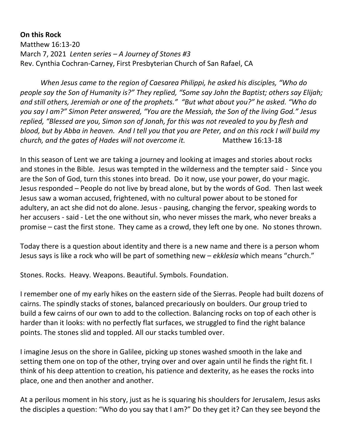**On this Rock** Matthew 16:13-20 March 7, 2021 *Lenten series – A Journey of Stones #3* Rev. Cynthia Cochran-Carney, First Presbyterian Church of San Rafael, CA

*When Jesus came to the region of Caesarea Philippi, he asked his disciples, "Who do people say the Son of Humanity is?" They replied, "Some say John the Baptist; others say Elijah; and still others, Jeremiah or one of the prophets." "But what about you?" he asked. "Who do you say I am?" Simon Peter answered, "You are the Messiah, the Son of the living God." Jesus replied, "Blessed are you, Simon son of Jonah, for this was not revealed to you by flesh and blood, but by Abba in heaven. And I tell you that you are Peter, and on this rock I will build my church, and the gates of Hades will not overcome it.* Matthew 16:13-18

In this season of Lent we are taking a journey and looking at images and stories about rocks and stones in the Bible. Jesus was tempted in the wilderness and the tempter said - Since you are the Son of God, turn this stones into bread. Do it now, use your power, do your magic. Jesus responded – People do not live by bread alone, but by the words of God. Then last week Jesus saw a woman accused, frightened, with no cultural power about to be stoned for adultery, an act she did not do alone. Jesus - pausing, changing the fervor, speaking words to her accusers - said - Let the one without sin, who never misses the mark, who never breaks a promise – cast the first stone. They came as a crowd, they left one by one. No stones thrown.

Today there is a question about identity and there is a new name and there is a person whom Jesus says is like a rock who will be part of something new – *ekklesia* which means "church."

Stones. Rocks. Heavy. Weapons. Beautiful. Symbols. Foundation.

I remember one of my early hikes on the eastern side of the Sierras. People had built dozens of cairns. The spindly stacks of stones, balanced precariously on boulders. Our group tried to build a few cairns of our own to add to the collection. Balancing rocks on top of each other is harder than it looks: with no perfectly flat surfaces, we struggled to find the right balance points. The stones slid and toppled. All our stacks tumbled over.

I imagine Jesus on the shore in Galilee, picking up stones washed smooth in the lake and setting them one on top of the other, trying over and over again until he finds the right fit. I think of his deep attention to creation, his patience and dexterity, as he eases the rocks into place, one and then another and another.

At a perilous moment in his story, just as he is squaring his shoulders for Jerusalem, Jesus asks the disciples a question: "Who do you say that I am?" Do they get it? Can they see beyond the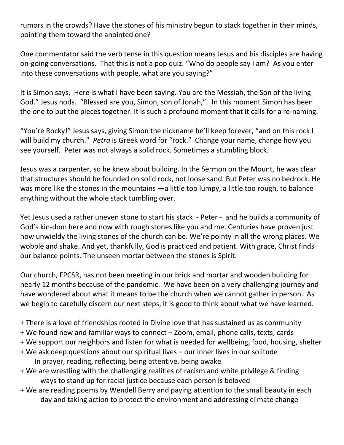rumors in the crowds? Have the stones of his ministry begun to stack together in their minds, pointing them toward the anointed one?

One commentator said the verb tense in this question means Jesus and his disciples are having on-going conversations. That this is not a pop quiz. "Who do people say I am? As you enter into these conversations with people, what are you saying?"

It is Simon says, Here is what I have been saying. You are the Messiah, the Son of the living God." Jesus nods. "Blessed are you, Simon, son of Jonah,". In this moment Simon has been the one to put the pieces together. It is such a profound moment that it calls for a re-naming.

"You're Rocky!" Jesus says, giving Simon the nickname he'll keep forever, "and on this rock I will build my church." *Petra* is Greek word for "rock." Change your name, change how you see yourself. Peter was not always a solid rock. Sometimes a stumbling block.

Jesus was a carpenter, so he knew about building. In the Sermon on the Mount, he was clear that structures should be founded on solid rock, not loose sand. But Peter was no bedrock. He was more like the stones in the mountains —a little too lumpy, a little too rough, to balance anything without the whole stack tumbling over.

Yet Jesus used a rather uneven stone to start his stack - Peter - and he builds a community of God's kin-dom here and now with rough stones like you and me. Centuries have proven just how unwieldy the living stones of the church can be. We're pointy in all the wrong places. We wobble and shake. And yet, thankfully, God is practiced and patient. With grace, Christ finds our balance points. The unseen mortar between the stones is Spirit.

Our church, FPCSR, has not been meeting in our brick and mortar and wooden building for nearly 12 months because of the pandemic. We have been on a very challenging journey and have wondered about what it means to be the church when we cannot gather in person. As we begin to carefully discern our next steps, it is good to think about what we have learned.

- + There is a love of friendships rooted in Divine love that has sustained us as community
- + We found new and familiar ways to connect Zoom, email, phone calls, texts, cards
- + We support our neighbors and listen for what is needed for wellbeing, food, housing, shelter
- + We ask deep questions about our spiritual lives our inner lives in our solitude In prayer, reading, reflecting, being attentive, being awake
- + We are wrestling with the challenging realities of racism and white privilege & finding ways to stand up for racial justice because each person is beloved
- + We are reading poems by Wendell Berry and paying attention to the small beauty in each day and taking action to protect the environment and addressing climate change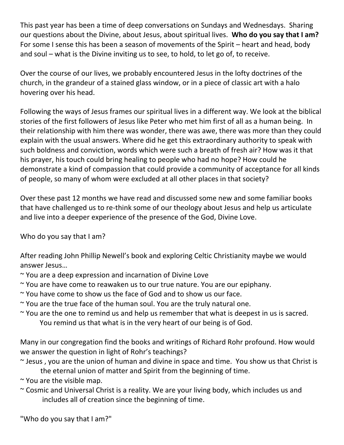This past year has been a time of deep conversations on Sundays and Wednesdays. Sharing our questions about the Divine, about Jesus, about spiritual lives. **Who do you say that I am?** For some I sense this has been a season of movements of the Spirit – heart and head, body and soul – what is the Divine inviting us to see, to hold, to let go of, to receive.

Over the course of our lives, we probably encountered Jesus in the lofty doctrines of the church, in the grandeur of a stained glass window, or in a piece of classic art with a halo hovering over his head.

Following the ways of Jesus frames our spiritual lives in a different way. We look at the biblical stories of the first followers of Jesus like Peter who met him first of all as a human being. In their relationship with him there was wonder, there was awe, there was more than they could explain with the usual answers. Where did he get this extraordinary authority to speak with such boldness and conviction, words which were such a breath of fresh air? How was it that his prayer, his touch could bring healing to people who had no hope? How could he demonstrate a kind of compassion that could provide a community of acceptance for all kinds of people, so many of whom were excluded at all other places in that society?

Over these past 12 months we have read and discussed some new and some familiar books that have challenged us to re-think some of our theology about Jesus and help us articulate and live into a deeper experience of the presence of the God, Divine Love.

Who do you say that I am?

After reading John Phillip Newell's book and exploring Celtic Christianity maybe we would answer Jesus…

- ~ You are a deep expression and incarnation of Divine Love
- ~ You are have come to reawaken us to our true nature. You are our epiphany.
- ~ You have come to show us the face of God and to show us our face.
- ~ You are the true face of the human soul. You are the truly natural one.
- ~ You are the one to remind us and help us remember that what is deepest in us is sacred. You remind us that what is in the very heart of our being is of God.

Many in our congregation find the books and writings of Richard Rohr profound. How would we answer the question in light of Rohr's teachings?

- $\sim$  Jesus, you are the union of human and divine in space and time. You show us that Christ is the eternal union of matter and Spirit from the beginning of time.
- ~ You are the visible map.
- ~ Cosmic and Universal Christ is a reality. We are your living body, which includes us and includes all of creation since the beginning of time.

"Who do you say that I am?"